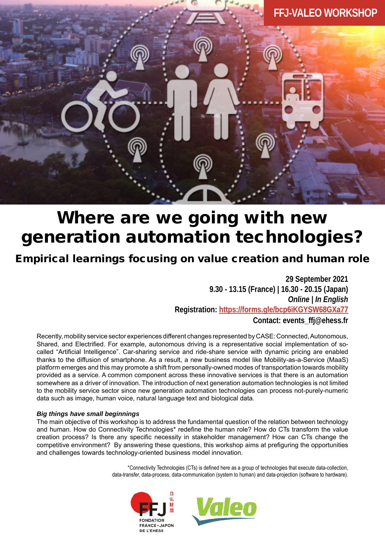

# Where are we going with new generation automation technologies?

## Empirical learnings focusing on value creation and human role

**29 September 2021 9.30 - 13.15 (France) | 16.30 - 20.15 (Japan)** *Online | In English*  **Registration: [https://forms.gle/bcp6iKGYSW68GXa77](https://forms.gle/3kKhVAHBJWyPYmxx6) Contact: events\_ffj@ehess.fr**

Recently, mobility service sector experiences different changes represented by CASE: Connected, Autonomous, Shared, and Electrified. For example, autonomous driving is a representative social implementation of socalled "Artificial Intelligence". Car-sharing service and ride-share service with dynamic pricing are enabled thanks to the diffusion of smartphone. As a result, a new business model like Mobility-as-a-Service (MaaS) platform emerges and this may promote a shift from personally-owned modes of transportation towards mobility provided as a service. A common component across these innovative services is that there is an automation somewhere as a driver of innovation. The introduction of next generation automation technologies is not limited to the mobility service sector since new generation automation technologies can process not-purely-numeric data such as image, human voice, natural language text and biological data.

#### *Big things have small beginnings*

The main objective of this workshop is to address the fundamental question of the relation between technology and human. How do Connectivity Technologies\* redefine the human role? How do CTs transform the value creation process? Is there any specific necessity in stakeholder management? How can CTs change the competitive environment? By answering these questions, this workshop aims at prefiguring the opportunities and challenges towards technology-oriented business model innovation.

> \*Connectivity Technologies (CTs) is defined here as a group of technologies that execute data-collection, data-transfer, data-process, data-communication (system to human) and data-projection (software to hardware).



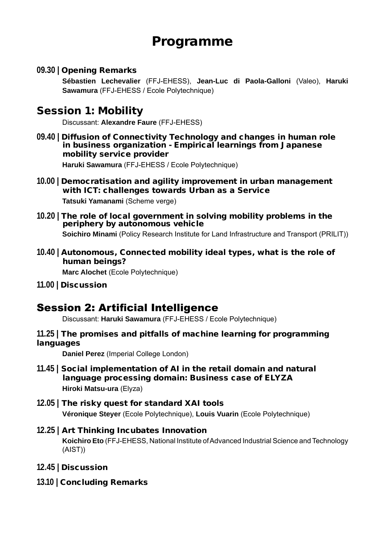## Programme

**09.30 |** Opening Remarks

**Sébastien Lechevalier** (FFJ-EHESS), **Jean-Luc di Paola-Galloni** (Valeo), **Haruki Sawamura** (FFJ-EHESS / Ecole Polytechnique)

## Session 1: Mobility

Discussant: **Alexandre Faure** (FFJ-EHESS)

- **09.40 |** Diffusion of Connectivity Technology and changes in human role in business organization - Empirical learnings from Japanese mobility service provider **Haruki Sawamura** (FFJ-EHESS / Ecole Polytechnique)
- **10.00 |** Democratisation and agility improvement in urban management with ICT: challenges towards Urban as a Service **Tatsuki Yamanami** (Scheme verge)
- **10.20 |** The role of local government in solving mobility problems in the periphery by autonomous vehicle **Soichiro Minami** (Policy Research Institute for Land Infrastructure and Transport (PRILIT))
- **10.40 |** Autonomous, Connected mobility ideal types, what is the role of human beings? **Marc Alochet** (Ecole Polytechnique)
- **11.00 |** Discussion

## Session 2: Artificial Intelligence

Discussant: **Haruki Sawamura** (FFJ-EHESS / Ecole Polytechnique)

**11.25 |** The promises and pitfalls of machine learning for programming languages

**Daniel Perez** (Imperial College London)

- **11.45 |** Social implementation of AI in the retail domain and natural language processing domain: Business case of ELYZA **Hiroki Matsu-ura** (Elyza)
- **12.05 |** The risky quest for standard XAI tools **Véronique Steyer** (Ecole Polytechnique), **Louis Vuarin** (Ecole Polytechnique)
- **12.25 |** Art Thinking Incubates Innovation **Koichiro Eto** (FFJ-EHESS, National Institute of Advanced Industrial Science and Technology (AIST))
- **12.45 |** Discussion
- **13.10 |** Concluding Remarks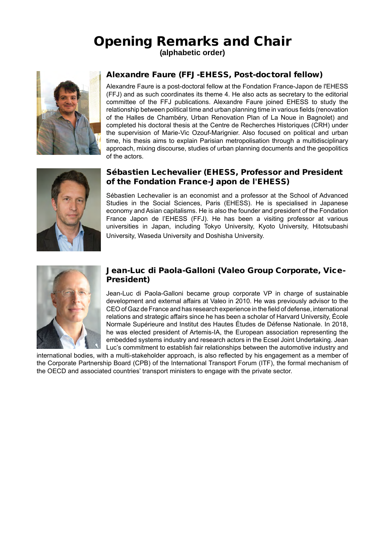# Opening Remarks and Chair

**(alphabetic order)**



## Alexandre Faure (FFJ-EHESS, Post-doctoral fellow)

Alexandre Faure is a post-doctoral fellow at the Fondation France-Japon de l'EHESS (FFJ) and as such coordinates its theme 4. He also acts as secretary to the editorial committee of the FFJ publications. Alexandre Faure joined EHESS to study the relationship between political time and urban planning time in various fields (renovation of the Halles de Chambéry, Urban Renovation Plan of La Noue in Bagnolet) and completed his doctoral thesis at the Centre de Recherches Historiques (CRH) under the supervision of Marie-Vic Ozouf-Marignier. Also focused on political and urban time, his thesis aims to explain Parisian metropolisation through a multidisciplinary approach, mixing discourse, studies of urban planning documents and the geopolitics of the actors.



#### Sébastien Lechevalier (EHESS, Professor and President of the Fondation France-Japon de l'EHESS)

Sébastien Lechevalier is an economist and a professor at the School of Advanced Studies in the Social Sciences, Paris (EHESS). He is specialised in Japanese economy and Asian capitalisms. He is also the founder and president of the Fondation France Japon de l'EHESS (FFJ). He has been a visiting professor at various universities in Japan, including Tokyo University, Kyoto University, Hitotsubashi University, Waseda University and Doshisha University.



#### Jean-Luc di Paola-Galloni (Valeo Group Corporate, Vice-President)

Jean-Luc di Paola-Galloni became group corporate VP in charge of sustainable development and external affairs at Valeo in 2010. He was previously advisor to the CEO of Gaz de France and has research experience in the field of defense, international relations and strategic affairs since he has been a scholar of Harvard University, École Normale Supérieure and Institut des Hautes Études de Défense Nationale. In 2018, he was elected president of Artemis-IA, the European association representing the embedded systems industry and research actors in the Ecsel Joint Undertaking. Jean Luc's commitment to establish fair relationships between the automotive industry and

international bodies, with a multi-stakeholder approach, is also reflected by his engagement as a member of the Corporate Partnership Board (CPB) of the International Transport Forum (ITF), the formal mechanism of the OECD and associated countries' transport ministers to engage with the private sector.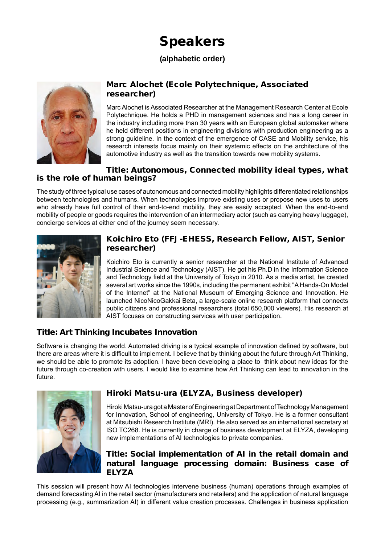# Speakers

## **(alphabetic order)**



## Marc Alochet (Ecole Polytechnique, Associated researcher)

Marc Alochet is Associated Researcher at the Management Research Center at Ecole Polytechnique. He holds a PHD in management sciences and has a long career in the industry including more than 30 years with an European global automaker where he held different positions in engineering divisions with production engineering as a strong guideline. In the context of the emergence of CASE and Mobility service, his research interests focus mainly on their systemic effects on the architecture of the automotive industry as well as the transition towards new mobility systems.

#### Title: Autonomous, Connected mobility ideal types, what is the role of human beings?

The study of three typical use cases of autonomous and connected mobility highlights differentiated relationships between technologies and humans. When technologies improve existing uses or propose new uses to users who already have full control of their end-to-end mobility, they are easily accepted. When the end-to-end mobility of people or goods requires the intervention of an intermediary actor (such as carrying heavy luggage), concierge services at either end of the journey seem necessary.



### Koichiro Eto (FFJ-EHESS, Research Fellow, AIST, Senior researcher)

Koichiro Eto is currently a senior researcher at the National Institute of Advanced Industrial Science and Technology (AIST). He got his Ph.D in the Information Science and Technology field at the University of Tokyo in 2010. As a media artist, he created several art works since the 1990s, including the permanent exhibit "A Hands-On Model of the Internet" at the National Museum of Emerging Science and Innovation. He launched NicoNicoGakkai Beta, a large-scale online research platform that connects public citizens and professional researchers (total 650,000 viewers). His research at AIST focuses on constructing services with user participation.

## Title: Art Thinking Incubates Innovation

Software is changing the world. Automated driving is a typical example of innovation defined by software, but there are areas where it is difficult to implement. I believe that by thinking about the future through Art Thinking, we should be able to promote its adoption. I have been developing a place to think about new ideas for the future through co-creation with users. I would like to examine how Art Thinking can lead to innovation in the future.



## Hiroki Matsu-ura (ELYZA, Business developer)

Hiroki Matsu-ura got a Master of Engineering at Department of Technology Management for Innovation, School of engineering, University of Tokyo. He is a former consultant at Mitsubishi Research Institute (MRI). He also served as an international secretary at ISO TC268. He is currently in charge of business development at ELYZA, developing new implementations of AI technologies to private companies.

## Title: Social implementation of AI in the retail domain and natural language processing domain: Business case of ELYZA

This session will present how AI technologies intervene business (human) operations through examples of demand forecasting AI in the retail sector (manufacturers and retailers) and the application of natural language processing (e.g., summarization AI) in different value creation processes. Challenges in business application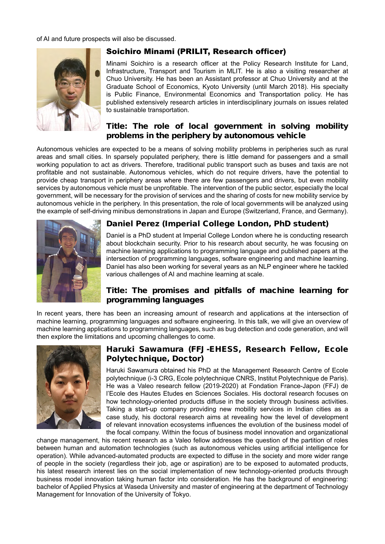of AI and future prospects will also be discussed.



## Soichiro Minami (PRILIT, Research officer)

Minami Soichiro is a research officer at the Policy Research Institute for Land, Infrastructure, Transport and Tourism in MLIT. He is also a visiting researcher at Chuo University. He has been an Assistant professor at Chuo University and at the Graduate School of Economics, Kyoto University (until March 2018). His specialty is Public Finance, Environmental Economics and Transportation policy. He has published extensively research articles in interdisciplinary journals on issues related to sustainable transportation.

### Title: The role of local government in solving mobility problems in the periphery by autonomous vehicle

Autonomous vehicles are expected to be a means of solving mobility problems in peripheries such as rural areas and small cities. In sparsely populated periphery, there is little demand for passengers and a small working population to act as drivers. Therefore, traditional public transport such as buses and taxis are not profitable and not sustainable. Autonomous vehicles, which do not require drivers, have the potential to provide cheap transport in periphery areas where there are few passengers and drivers, but even mobility services by autonomous vehicle must be unprofitable. The intervention of the public sector, especially the local government, will be necessary for the provision of services and the sharing of costs for new mobility service by autonomous vehicle in the periphery. In this presentation, the role of local governments will be analyzed using the example of self-driving minibus demonstrations in Japan and Europe (Switzerland, France, and Germany).



## Daniel Perez (Imperial College London, PhD student)

Daniel is a PhD student at Imperial College London where he is conducting research about blockchain security. Prior to his research about security, he was focusing on machine learning applications to programming language and published papers at the intersection of programming languages, software engineering and machine learning. Daniel has also been working for several years as an NLP engineer where he tackled various challenges of AI and machine learning at scale.

## Title: The promises and pitfalls of machine learning for programming languages

In recent years, there has been an increasing amount of research and applications at the intersection of machine learning, programming languages and software engineering. In this talk, we will give an overview of machine learning applications to programming languages, such as bug detection and code generation, and will then explore the limitations and upcoming challenges to come.



### Haruki Sawamura (FFJ-EHESS, Research Fellow, Ecole Polytechnique, Doctor)

Haruki Sawamura obtained his PhD at the Management Research Centre of Ecole polytechnique (i-3 CRG, Ecole polytechnique CNRS, Institut Polytechnique de Paris). He was a Valeo research fellow (2019-2020) at Fondation France-Japon (FFJ) de l'Ecole des Hautes Etudes en Sciences Sociales. His doctoral research focuses on how technology-oriented products diffuse in the society through business activities. Taking a start-up company providing new mobility services in Indian cities as a case study, his doctoral research aims at revealing how the level of development of relevant innovation ecosystems influences the evolution of the business model of the focal company. Within the focus of business model innovation and organizational

change management, his recent research as a Valeo fellow addresses the question of the partition of roles between human and automation technologies (such as autonomous vehicles using artificial intelligence for operation). While advanced-automated products are expected to diffuse in the society and more wider range of people in the society (regardless their job, age or aspiration) are to be exposed to automated products, his latest research interest lies on the social implementation of new technology-oriented products through business model innovation taking human factor into consideration. He has the background of engineering: bachelor of Applied Physics at Waseda University and master of engineering at the department of Technology Management for Innovation of the University of Tokyo.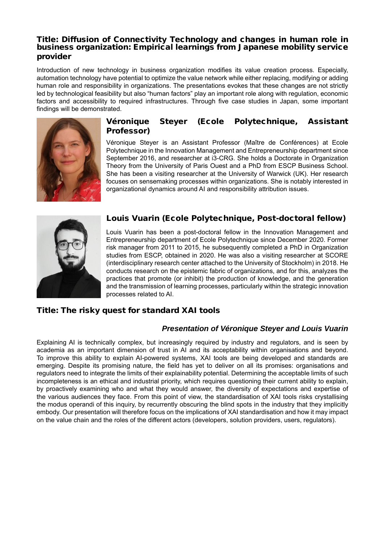#### Title: Diffusion of Connectivity Technology and changes in human role in business organization: Empirical learnings from Japanese mobility service provider

Introduction of new technology in business organization modifies its value creation process. Especially, automation technology have potential to optimize the value network while either replacing, modifying or adding human role and responsibility in organizations. The presentations evokes that these changes are not strictly led by technological feasibility but also "human factors" play an important role along with regulation, economic factors and accessibility to required infrastructures. Through five case studies in Japan, some important findings will be demonstrated.



## Véronique Steyer (Ecole Polytechnique, Assistant Professor)

Véronique Steyer is an Assistant Professor (Maître de Conférences) at Ecole Polytechnique in the Innovation Management and Entrepreneurship department since September 2016, and researcher at i3-CRG. She holds a Doctorate in Organization Theory from the University of Paris Ouest and a PhD from ESCP Business School. She has been a visiting researcher at the University of Warwick (UK). Her research focuses on sensemaking processes within organizations. She is notably interested in organizational dynamics around AI and responsibility attribution issues.



## Louis Vuarin (Ecole Polytechnique, Post-doctoral fellow)

Louis Vuarin has been a post-doctoral fellow in the Innovation Management and Entrepreneurship department of Ecole Polytechnique since December 2020. Former risk manager from 2011 to 2015, he subsequently completed a PhD in Organization studies from ESCP, obtained in 2020. He was also a visiting researcher at SCORE (interdisciplinary research center attached to the University of Stockholm) in 2018. He conducts research on the epistemic fabric of organizations, and for this, analyzes the practices that promote (or inhibit) the production of knowledge, and the generation and the transmission of learning processes, particularly within the strategic innovation processes related to AI.

## Title: The risky quest for standard XAI tools

## *Presentation of Véronique Steyer and Louis Vuarin*

Explaining AI is technically complex, but increasingly required by industry and regulators, and is seen by academia as an important dimension of trust in AI and its acceptability within organisations and beyond. To improve this ability to explain AI-powered systems, XAI tools are being developed and standards are emerging. Despite its promising nature, the field has yet to deliver on all its promises: organisations and regulators need to integrate the limits of their explainability potential. Determining the acceptable limits of such incompleteness is an ethical and industrial priority, which requires questioning their current ability to explain, by proactively examining who and what they would answer, the diversity of expectations and expertise of the various audiences they face. From this point of view, the standardisation of XAI tools risks crystallising the modus operandi of this inquiry, by recurrently obscuring the blind spots in the industry that they implicitly embody. Our presentation will therefore focus on the implications of XAI standardisation and how it may impact on the value chain and the roles of the different actors (developers, solution providers, users, regulators).